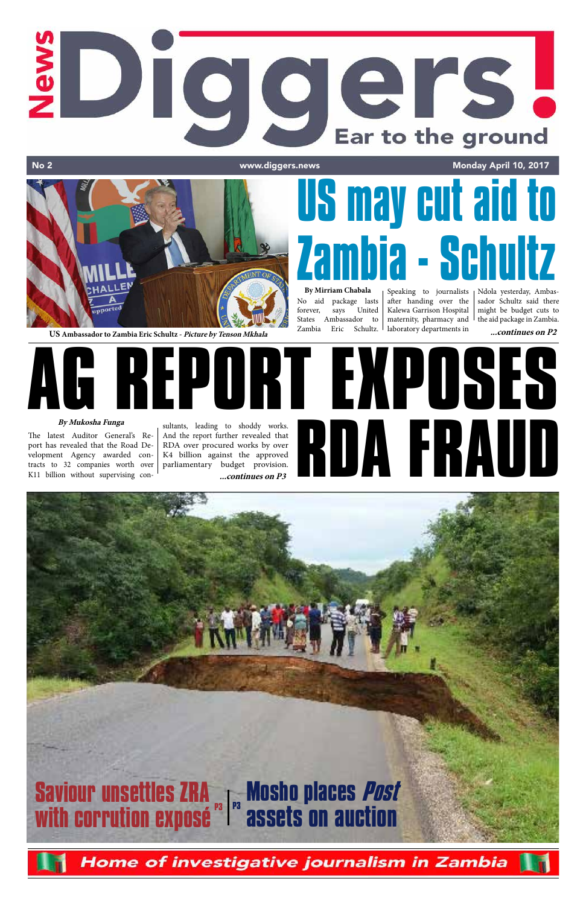## **New** Diggers! Ear to the ground No 2 and 2 www.diggers.news Monday April 10, 2017



**US** Ambassador to Zambia Eric Schultz - Picture by Tenson Mkhala *Lambia* Eric Schultz. I laboratory departments in ...continues on P2





The latest Auditor General's Report has revealed that the Road Development Agency awarded contracts to 32 companies worth over K11 billion without supervising con-

**By Mirriam Chabala** No aid package lasts forever, says United States Ambassador to Zambia Eric Schultz.

sultants, leading to shoddy works. And the report further revealed that RDA over procured works by over K4 billion against the approved parliamentary budget provision. **...continues on P3**

Speaking to journalists Ndola yesterday, Ambasafter handing over the Kalewa Garrison Hospital maternity, pharmacy and laboratory departments in

# **Saviour unsettles ZRA with corrution exposé Mosho places Post assets on auction P3 P3**

Home of investigative journalism in Zambia

sador Schultz said there might be budget cuts to the aid package in Zambia.



# **US may cut aid to Zambia - Schultz**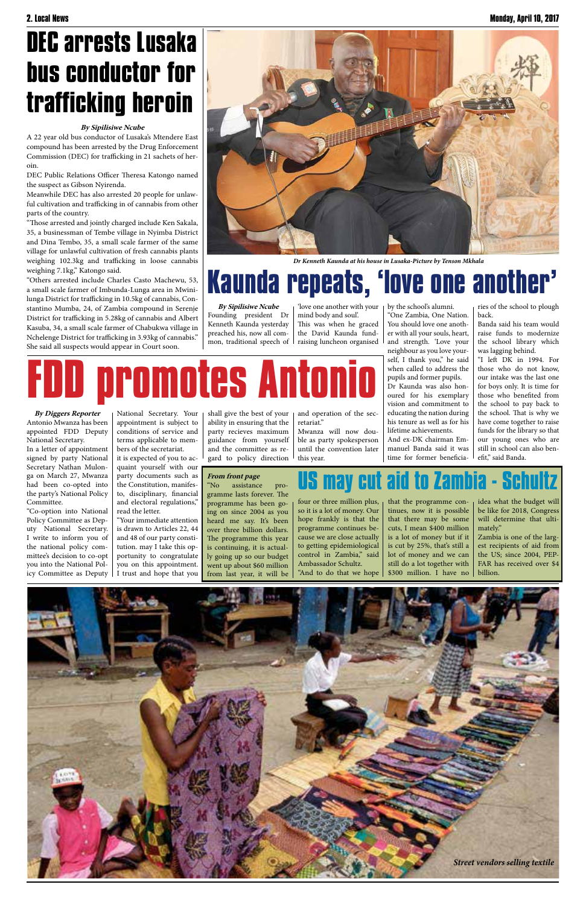shall give the best of your ability in ensuring that the party recieves maximum guidance from yourself and the committee as regard to policy direction

and operation of the secretariat."

Mwanza will now double as party spokesperson until the convention later this year.

# **FDD promotes Antonio**

**By Diggers Reporter** Antonio Mwanza has been appointed FDD Deputy National Secretary.

In a letter of appointment signed by party National Secretary Nathan Mulonga on March 27, Mwanza had been co-opted into the party's National Policy Committee.

"Co-option into National Policy Committee as Deputy National Secretary. I write to inform you of the national policy committee's decision to co-opt you into the National Policy Committee as Deputy

National Secretary. Your appointment is subject to conditions of service and terms applicable to members of the secretariat. it is expected of you to acquaint yourself with our party documents such as the Constitution, manifesto, disciplinary, financial and electoral regulations,"

read the letter. "Your immediate attention is drawn to Articles 22, 44 and 48 of our party constitution. may I take this opportunity to congratulate you on this appointment. I trust and hope that you

four or three million plus, so it is a lot of money. Our hope frankly is that the programme continues because we are close actually to getting epidemiological control in Zambia," said Ambassador Schultz. "And to do that we hope

that the programme continues, now it is possible that there may be some cuts, I mean \$400 million is a lot of money but if it is cut by 25%, that's still a lot of money and we can still do a lot together with \$300 million. I have no idea what the budget will be like for 2018, Congress will determine that ultimately."

Zambia is one of the largest recipients of aid from the US; since 2004, PEP-FAR has received over \$4 billion.

**US may cut aid to Zambia - Schultz From front page**

"No assistance programme lasts forever. The programme has been going on since 2004 as you heard me say. It's been over three billion dollars. The programme this year is continuing, it is actually going up so our budget went up about \$60 million from last year, it will be

**By Sipilisiwe Ncube** Founding president Dr Kenneth Kaunda yesterday preached his, now all common, traditional speech of

'love one another with your mind body and soul'. This was when he graced the David Kaunda fundraising luncheon organised

by the school's alumni. "One Zambia, One Nation. You should love one another with all your souls, heart, and strength. 'Love your neighbour as you love yourself, I thank you," he said when called to address the pupils and former pupils. Dr Kaunda was also honoured for his exemplary vision and commitment to educating the nation during his tenure as well as for his

lifetime achievements. And ex-DK chairman Emmanuel Banda said it was time for former beneficiaries of the school to plough back.

Banda said his team would raise funds to modernize the school library which was lagging behind.

"I left DK in 1994. For those who do not know, our intake was the last one for boys only. It is time for those who benefited from the school to pay back to the school. That is why we have come together to raise funds for the library so that our young ones who are still in school can also benefit," said Banda.

## **Kaunda repeats, 'love one another'**



*Dr Kenneth Kaunda at his house in Lusaka-Picture by Tenson Mkhala*

#### **By Sipilisiwe Ncube**

A 22 year old bus conductor of Lusaka's Mtendere East compound has been arrested by the Drug Enforcement Commission (DEC) for trafficking in 21 sachets of heroin.

DEC Public Relations Officer Theresa Katongo named the suspect as Gibson Nyirenda.

Meanwhile DEC has also arrested 20 people for unlawful cultivation and trafficking in of cannabis from other parts of the country.

"Those arrested and jointly charged include Ken Sakala, 35, a businessman of Tembe village in Nyimba District and Dina Tembo, 35, a small scale farmer of the same village for unlawful cultivation of fresh cannabis plants weighing 102.3kg and trafficking in loose cannabis weighing 7.1kg," Katongo said.

"Others arrested include Charles Casto Machewu, 53, a small scale farmer of Imbunda-Lunga area in Mwinilunga District for trafficking in 10.5kg of cannabis, Constantino Mumba, 24, of Zambia compound in Serenje District for trafficking in 5.28kg of cannabis and Albert Kasuba, 34, a small scale farmer of Chabukwa village in Nchelenge District for trafficking in 3.93kg of cannabis." She said all suspects would appear in Court soon.

### **DEC arrests Lusaka bus conductor for trafficking heroin**

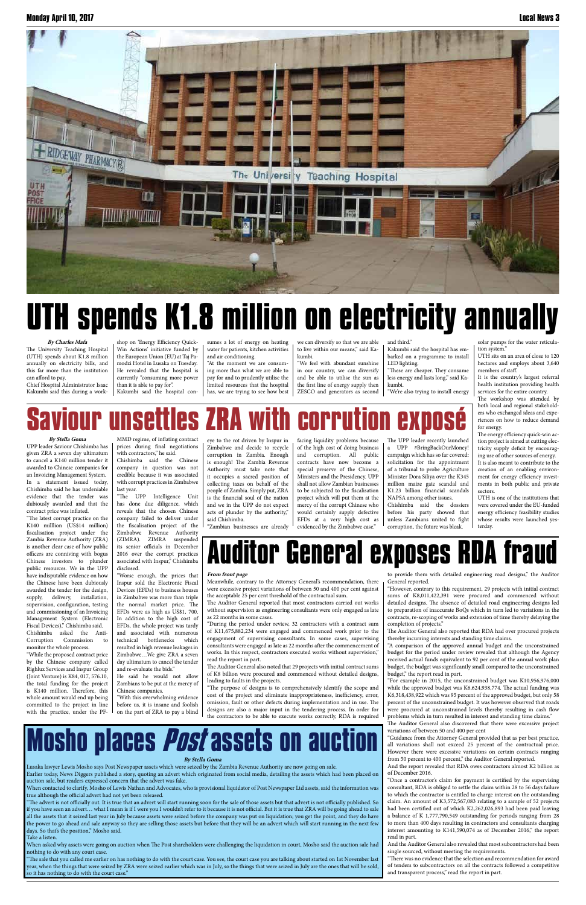

#### **By Stella Goma**

Lusaka lawyer Lewis Mosho says Post Newspaper assets which were seized by the Zambia Revenue Authority are now going on sale. Earlier today, News Diggers published a story, quoting an advert which originated from social media, detailing the assets which had been placed on auction sale, but readers expressed concern that the advert was fake.

When contacted to clarify, Mosho of Lewis Nathan and Advocates, who is provisional liquidator of Post Newspaper Ltd assets, said the information was true although the official advert had not yet been released.

"The sale that you called me earlier on has nothing to do with the court case. You see, the court case you are talking about started on 1st November last year, when the things that were seized by ZRA were seized earlier which was in July, so the things that were seized in July are the ones that will be sold, so it has nothing to do with the court case.'

"The advert is not officially out. It is true that an advert will start running soon for the sale of those assets but that advert is not officially published. So if you have seen an advert… what I mean is if I were you I wouldn't refer to it because it is not official. But it is true that ZRA will be going ahead to sale all the assets that it seized last year in July because assets were seized before the company was put on liquidation; you get the point, and they do have the power to go ahead and sale anyway so they are selling those assets but before that they will be an advert which will start running in the next few days. So that's the position," Mosho said.

Take a listen.

When asked why assets were going on auction when The Post shareholders were challenging the liquidation in court, Mosho said the auction sale had nothing to do with any court case.

#### **From front page**

Meanwhile, contrary to the Attorney General's recommendation, there were excessive project variations of between 50 and 400 per cent against the acceptable 25 per cent threshold of the contractual sum.

The Auditor General reported that most contractors carried out works without supervision as engineering consultants were only engaged as late as 22 months in some cases.

"During the period under review, 32 contractors with a contract sum of K11,675,882,234 were engaged and commenced work prior to the engagement of supervising consultants. In some cases, supervising consultants were engaged as late as 22 months after the commencement of works. In this respect, contractors executed works without supervision," read the report in part.

The Auditor General also noted that 29 projects with initial contract sums of K8 billion were procured and commenced without detailed designs, leading to faults in the projects. "The purpose of designs is to comprehensively identify the scope and cost of the project and eliminate inappropriateness, inefficiency, error, omission, fault or other defects during implementation and in use. The designs are also a major input in the tendering process. In order for the contractors to be able to execute works correctly, RDA is required

to provide them with detailed engineering road designs," the Auditor General reported.

"However, contrary to this requirement, 29 projects with initial contract sums of K8,011,422,391 were procured and commenced without detailed designs. The absence of detailed road engineering designs led to preparation of inaccurate BoQs which in turn led to variations in the contracts, re-scoping of works and extension of time thereby delaying the completion of projects."

The Auditor General also reported that RDA had over procured projects thereby incurring interests and standing time claims.

"A comparison of the approved annual budget and the unconstrained budget for the period under review revealed that although the Agency received actual funds equivalent to 92 per cent of the annual work plan budget, the budget was significantly small compared to the unconstrained budget," the report read in part. "For example in 2015, the unconstrained budget was K10,956,976,000 while the approved budget was K6,624,938,774. The actual funding was K6,318,438,922 which was 95 percent of the approved budget, but only 58 percent of the unconstrained budget. It was however observed that roads were procured at unconstrained levels thereby resulting in cash flow problems which in turn resulted in interest and standing time claims." The Auditor General also discovered that there were excessive project variations of between 50 and 400 per cent "Guidance from the Attorney General provided that as per best practice, all variations shall not exceed 25 percent of the contractual price. However there were excessive variations on certain contracts ranging from 50 percent to 400 percent," the Auditor General reported. And the report revealed that RDA owes contractors almost K2 billion as of December 2016. "Once a contractor's claim for payment is certified by the supervising consultant, RDA is obliged to settle the claim within 28 to 56 days failure to which the contractor is entitled to charge interest on the outstanding claim. An amount of K3,572,567,083 relating to a sample of 52 projects had been certified out of which K2,262,026,893 had been paid leaving a balance of K 1,777,790,549 outstanding for periods ranging from 28 to more than 400 days resulting in contractors and consultants charging interest amounting to K141,590,074 as of December 2016," the report read in part. And the Auditor General also revealed that most subcontractors had been single sourced, without meeting the requirements. "There was no evidence that the selection and recommendation for award of tenders to subcontractors on all the contracts followed a competitive and transparent process," read the report in part.

UTH sits on an area of close to 120 hectares and employs about 3,640 members of staff.

### **Auditor General exposes RDA fraud**

#### **By Stella Goma**

UPP leader Saviour Chishimba has given ZRA a seven day ultimatum to cancel a K140 million tender it awarded to Chinese companies for an Invoicing Management System. In a statement issued today, Chishimba said he has undeniable evidence that the tender was dubiously awarded and that the contract price was inflated.

"The latest corrupt practice on the K140 milllion (US\$14 million) fiscalisation project under the Zambia Revenue Authority (ZRA) is another clear case of how public officers are conniving with bogus Chinese investors to plunder public resources. We in the UPP have indisputable evidence on how the Chinese have been dubiously awarded the tender for the design, supply, delivery, installation, supervision, configuration, testing and commissioning of an Invoicing Management System (Electronic Fiscal Devices)," Chishimba said. Chishimba asked the Anti-Corruption Commission to monitor the whole process.

"While the proposed contract price by the Chinese company called

Righlux Services and Inspur Group (Joint Venture) is K84, 017, 576.10, the total funding for the project is K140 million. Therefore, this whole amount would end up being committed to the project in line with the practice, under the PF-

## **osho places** *Post* **assets on a**

prices during final negotiations with contractors," he said. Chishimba said the Chinese

company in question was not credible because it was associated with corrupt practices in Zimbabwe last year.

"The UPP Intelligence Unit has done due diligence, which reveals that the chosen Chinese company failed to deliver under the fiscalisation project of the Zimbabwe Revenue Authority (ZIMRA). ZIMRA suspended its senior officials in December 2016 over the corrupt practices associated with Inspur," Chishimba disclosed.

"Worse enough, the prices that Inspur sold the Electronic Fiscal Devices (EFDs) to business houses in Zimbabwe was more than triple the normal market price. The EFDs were as high as US\$1, 700. In addition to the high cost of EFDs, the whole project was tardy and associated with numerous technical bottlenecks which resulted in high revenue leakages in Zimbabwe…We give ZRA a seven day ultimatum to cancel the tender and re-evaluate the bids." He said he would not allow Zambians to be put at the mercy of Chinese companies. "With this overwhelming evidence before us, it is insane and foolish on the part of ZRA to pay a blind



eye to the rot driven by Inspur in Zimbabwe and decide to recycle corruption in Zambia. Enough is enough! The Zambia Revenue Authority must take note that it occupies a sacred position of collecting taxes on behalf of the people of Zambia. Simply put, ZRA is the financial soul of the nation and we in the UPP do not expect acts of plunder by the authority," said Chishimba.

"Zambian businesses are already

facing liquidity problems because of the high cost of doing business and corruption. All public contracts have now become a special preserve of the Chinese, Ministers and the Presidency. UPP shall not allow Zambian businesses to be subjected to the fiscalisation project which will put them at the mercy of the corrupt Chinese who would certainly supply defective EFDs at a very high cost as evidenced by the Zimbabwe case."

The UPP leader recently launched a UPP #BringBackOurMoney! campaign which has so far covered: solicitation for the appointment of a tribunal to probe Agriculture Minister Dora Siliya over the K345 million maize gate scandal and K1.23 billion financial scandals NAPSA among other issues.

Chishimba said the dossiers before his party showed that unless Zambians united to fight corruption, the future was bleak.

## **UTH spends K1.8 million on electricity annually**

#### **By Charles Mafa**

The University Teaching Hospital (UTH) spends about K1.8 million annually on electricity bills, and this far more than the institution can afford to pay. Chief Hospital Administrator Isaac

Kakumbi said this during a work-

shop on 'Energy Efficiency Quick-Win Actions' initiative funded by the European Union (EU) at Taj Pamodzi Hotel in Lusaka on Tuesday. He revealed that the hospital is currently "consuming more power than it is able to pay for". Kakumbi said the hospital con-

sumes a lot of energy on heating water for patients, kitchen activities and air conditioning.

"At the moment we are consuming more than what we are able to pay for and to prudently utilise the limited resources that the hospital has, we are trying to see how best we can diversify so that we are able to live within our means," said Kakumbi.

"We feel with abundant sunshine in our country, we can diversify and be able to utilise the sun as the first line of energy supply then ZESCO and generators as second and third."

Kakumbi said the hospital has embarked on a programme to install LED lighting.

"These are cheaper. They consume less energy and lasts long," said Kakumbi.

"We're also trying to install energy

solar pumps for the water reticulation system."

It is the country's largest referral health institution providing health services for the entire country.

The workshop was attended by both local and regional stakeholders who exchanged ideas and experiences on how to reduce demand for energy.

The energy efficiency quick-win action project is aimed at cutting electricity supply deficit by encouraging use of other sources of energy. It is also meant to contribute to the creation of an enabling environment for energy efficiency investments in both public and private sectors.

UTH is one of the institutions that were covered under the EU-funded energy efficiency feasibility studies whose results were launched yesterday.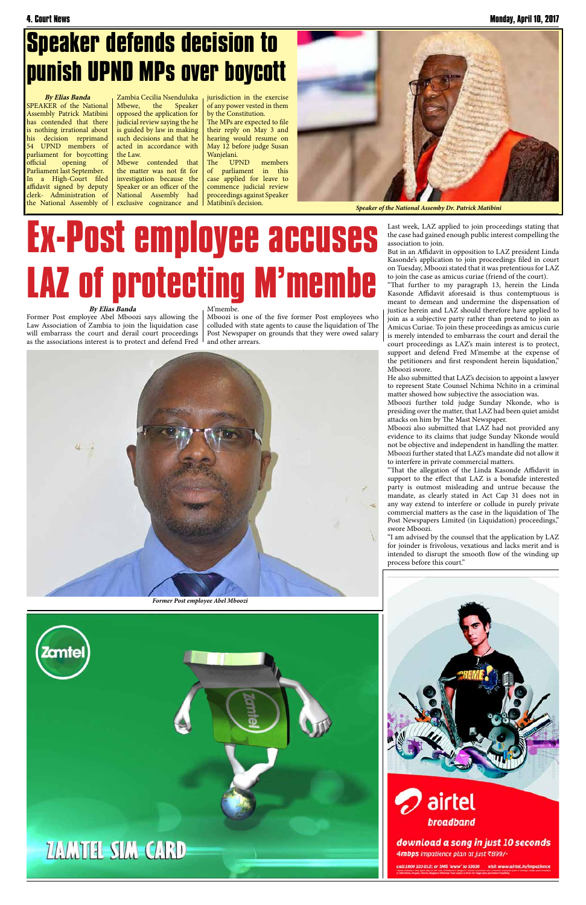## **Ex-Post employee accuses LAZ of protecting M'membe**



But in an Affidavit in opposition to LAZ president Linda Kasonde's application to join proceedings filed in court on Tuesday, Mboozi stated that it was pretentious for LAZ to join the case as amicus curiae (friend of the court).

"That further to my paragraph 13, herein the Linda Kasonde Affidavit aforesaid is thus contemptuous is meant to demean and undermine the dispensation of justice herein and LAZ should therefore have applied to join as a subjective party rather than pretend to join as Amicus Curiae. To join these proceedings as amicus curie is merely intended to embarrass the court and derail the court proceedings as LAZ's main interest is to protect,

support and defend Fred M'membe at the expense of the petitioners and first respondent herein liquidation," Mboozi swore.

He also submitted that LAZ's decision to appoint a lawyer to represent State Counsel Nchima Nchito in a criminal matter showed how subjective the association was.

Mboozi further told judge Sunday Nkonde, who is presiding over the matter, that LAZ had been quiet amidst attacks on him by The Mast Newspaper.

the matter was not fit for investigation because the Speaker or an officer of the National Assembly had exclusive cognizance and  $\vert$ 

> Mboozi also submitted that LAZ had not provided any evidence to its claims that judge Sunday Nkonde would not be objective and independent in handling the matter. Mboozi further stated that LAZ's mandate did not allow it to interfere in private commercial matters.

> "That the allegation of the Linda Kasonde Affidavit in support to the effect that LAZ is a bonafide interested party is outmost misleading and untrue because the mandate, as clearly stated in Act Cap 31 does not in any way extend to interfere or collude in purely private commercial matters as the case in the liquidation of The Post Newspapers Limited (in Liquidation) proceedings," swore Mboozi.

> "I am advised by the counsel that the application by LAZ for joinder is frivolous, vexatious and lacks merit and is intended to disrupt the smooth flow of the winding up process before this court."









download a song in just 10 seconds 4mbps impatience plan at just ₹899/-

call 1800 103 0121 or SMS 'www' to 53636 visit www.airtel.in/impatie

### **Speaker defends decision to punish UPND MPs over boycott**

**By Elias Banda** SPEAKER of the National Assembly Patrick Matibini has contended that there is nothing irrational about his decision reprimand 54 UPND members of parliament for boycotting official opening of Parliament last September. In a High-Court filed affidavit signed by deputy clerk- Administration of the National Assembly of

Zambia Cecilia Nsenduluka Mbewe, the Speaker opposed the application for judicial review saying the he is guided by law in making such decisions and that he acted in accordance with the Law. Mbewe contended that

jurisdiction in the exercise of any power vested in them by the Constitution.

The MPs are expected to file their reply on May 3 and hearing would resume on May 12 before judge Susan Wanjelani.

The UPND members of parliament in this case applied for leave to commence judicial review proceedings against Speaker Matibini's decision.

#### **By Elias Banda**

Former Post employee Abel Mboozi says allowing the Law Association of Zambia to join the liquidation case will embarrass the court and derail court proceedings as the associations interest is to protect and defend Fred

#### M'membe.

Mboozi is one of the five former Post employees who colluded with state agents to cause the liquidation of The Post Newspaper on grounds that they were owed salary and other arrears.



*Speaker of the National Assemby Dr. Patrick Matibini*



*Former Post employee Abel Mboozi*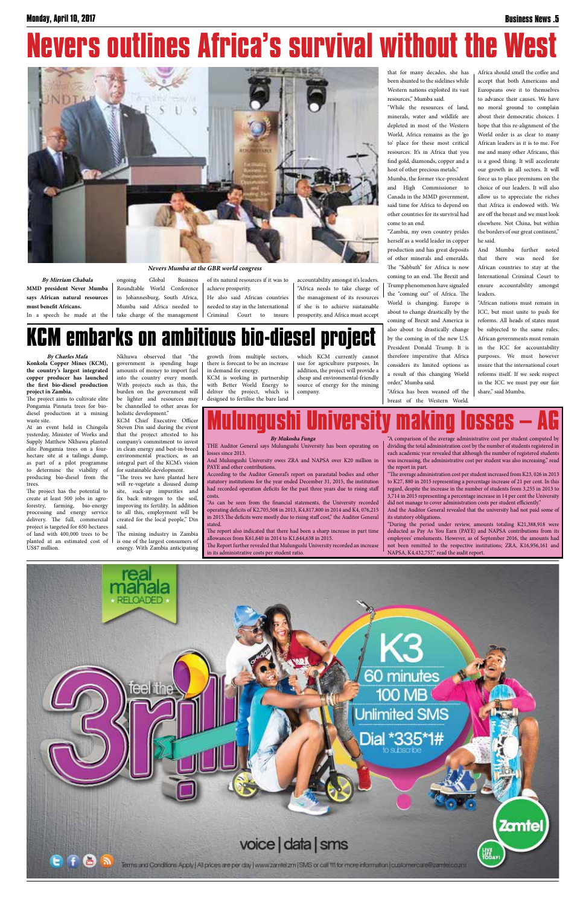**By Mirriam Chabala MMD president Never Mumba says African natural resources must benefit Africans.** In a speech he made at the

## **Nevers outlines Africa's survival without the West**



Roundtable World Conference in Johannesburg, South Africa, Mumba said Africa needed to

ongoing Global Business take charge of the management

of its natural resources if it was to achieve prosperity. He also said African countries needed to stay in the International Criminal Court to insure accountability amongst it's leaders. "Africa needs to take charge of the management of its resources if she is to achieve sustainable prosperity, and Africa must accept

that for many decades, she has been shunted to the sidelines while Western nations exploited its vast resources," Mumba said.

"While the resources of land, minerals, water and wildlife are depleted in most of the Western World, Africa remains as the 'go to' place for these most critical resources. It's in Africa that you find gold, diamonds, copper and a host of other precious metals."

Mumba, the former vice-president and High Commissioner to Canada in the MMD government, said time for Africa to depend on other countries for its survival had come to an end.

"Zambia, my own country prides herself as a world leader in copper production and has great deposits of other minerals and emeralds. The "Sabbath" for Africa is now coming to an end. The Brexit and Trump phenomenon have signaled the "coming out" of Africa. The World is changing. Europe is about to change drastically by the coming of Brexit and America is also about to drastically change by the coming in of the new U.S. President Donald Trump. It is therefore imperative that Africa considers its limited options as a result of this changing World order," Mumba said.

"Africa has been weaned off the

breast of the Western World.

Africa should smell the coffee and accept that both Americans and Europeans owe it to themselves to advance their causes. We have no moral ground to complain about their democratic choices. I hope that this re-alignment of the World order is as clear to many African leaders as it is to me. For me and many other Africans, this is a good thing. It will accelerate our growth in all sectors. It will force us to place premiums on the choice of our leaders. It will also allow us to appreciate the riches that Africa is endowed with. We are off the breast and we must look elsewhere. Not China, but within the borders of our great continent," he said.

And Mumba further noted that there was need for African countries to stay at the International Criminal Court to ensure accountability amongst leaders.

"African nations must remain in ICC, but must unite to push for reforms. All heads of states must be subjected to the same rules. African governments must remain in the ICC for accountability purposes. We must however insure that the international court reforms itself. If we seek respect in the ICC we must pay our fair share," said Mumba.

**Zamtel** 

嘂。

### **KCM embarks on ambitious bio-diesel project**

*Nevers Mumba at the GBR world congress*

**By Charles Mafa Konkola Copper Mines (KCM), the country's largest integrated copper producer has launched the first bio-diesel production project in Zambia.**

The project aims to cultivate elite Pongamia Pinnata trees for biodiesel production at a mining waste site.

> "During the period under review, amounts totaling K21,388,918 were deducted as Pay As You Earn (PAYE) and NAPSA contributions from its employees' emoluments. However, as of September 2016, the amounts had not been remitted to the respective institutions; ZRA, K16,956,161 and NAPSA, K4,432,757," read the audit report.



![](_page_4_Picture_42.jpeg)

Terms and Conditions Apply | All prices are per day | www.zamlet.zm | SMS or call 11t for more information | customercare@zamlet.co.zm |

At an event held in Chingola yesterday, Minister of Works and Supply Matthew Nkhuwa planted elite Pongamia trees on a fourhectare site at a tailings dump, as part of a pilot programme to determine the viability of producing bio-diesel from the trees.

The project has the potential to create at least 500 jobs in agroforestry, farming, bio-energy processing and energy service delivery. The full, commercial project is targeted for 650 hectares of land with 400,000 trees to be planted at an estimated cost of US\$7 million.

Nkhuwa observed that "the government is spending huge amounts of money to import fuel into the country every month. With projects such as this, the burden on the government will be lighter and resources may be channelled to other areas for holistic development."

KCM Chief Executive Officer Steven Din said during the event that the project attested to his company's commitment to invest in clean energy and best-in-breed environmental practices, as an integral part of the KCM's vision for sustainable development.

"The trees we have planted here will re-vegetate a disused dump site, suck-up impurities and fix back nitrogen to the soil, improving its fertility. In addition to all this, employment will be created for the local people,'' Din said.

The mining industry in Zambia is one of the largest consumers of energy. With Zambia anticipating

**eel the** 

in demand for energy.

deliver the project, which is designed to fertilise the bare land

growth from multiple sectors, there is forecast to be an increase KCM is working in partnership with Better World Energy to which KCM currently cannot use for agriculture purposes. In addition, the project will provide a cheap and environmental-friendly source of energy for the mining

company.

### **Mulungushi University making losses – AG**

60 minutes

**100 MB** 

**Jnlimited SMS** 

Dial \*335\*1#

#### **By Mukosha Funga**

THE Auditor General says Mulungushi University has been operating on losses since 2013.

And Mulungushi University owes ZRA and NAPSA over K20 million in PAYE and other contributions.

According to the Auditor General's report on parastatal bodies and other statutory institutions for the year ended December 31, 2015, the institution had recorded operation deficits for the past three years due to rising staff costs.

"As can be seen from the financial statements, the University recorded operating deficits of K2,705,508 in 2013, K4,817,800 in 2014 and K4, 076,215 in 2015.The deficits were mostly due to rising staff cost," the Auditor General stated.

The report also indicated that there had been a sharp increase in part time allowances from K61,640 in 2014 to K1,644,638 in 2015.

The Report further revealed that Mulungushi University recorded an increase in its administrative costs per student ratio.

"A comparison of the average administrative cost per student computed by dividing the total administration cost by the number of students registered in each academic year revealed that although the number of registered students was increasing, the administrative cost per student was also increasing," read the report in part.

"The average administration cost per student increased from K23, 026 in 2013 to K27, 880 in 2015 representing a percentage increase of 21 per cent. In this regard, despite the increase in the number of students from 3,255 in 2013 to 3,714 in 2015 representing a percentage increase in 14 per cent the University did not manage to cover administration costs per student efficiently."

And the Auditor General revealed that the university had not paid some of its statutory obligations.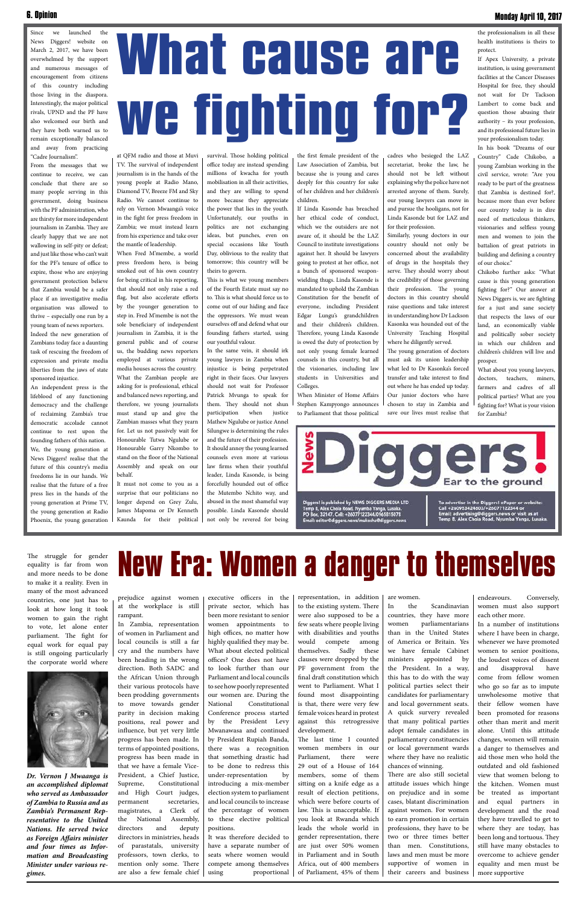# **What cause are we fighting for?**

the professionalism in all these health institutions is theirs to protect.

If Apex University, a private institution, is using government facilities at the Cancer Diseases Hospital for free, they should not wait for Dr Tackson Lambert to come back and question those abusing their authority – its your profession, and its professional future lies in your professionalism today.

In his book "Dreams of our Country" Cade Chikobo, a young Zambian working in the civil service, wrote: "Are you ready to be part of the greatness that Zambia is destined for?, because more than ever before our country today is in dire need of meticulous thinkers, visionaries and selfless young men and women to join the battalion of great patriots in building and defining a country of our choice."

Chikobo further asks: "What cause is this young generation fighting for?" Our answer at News Diggers is, we are fighting for a just and sane society that respects the laws of our land, an economically viable and politically sober society in which our children and children's children will live and prosper.

What about you young lawyers, doctors, teachers, miners, farmers and cadres of all political parties? What are you fighting for? What is your vision for Zambia?

**iDiggers**. Ear to the ground Diggers! is published by NEWS DIGGERS MEDIA LTD<br>Temp 8, Alex Chola Road, Nyumba Yanga, Lusaka.<br>PO Box, 32147. Cell: +26077122344/0965815078

To advertise in the Diggers! ePaper or website:<br>Call +260953424603/+26077122344 or<br>Email: advertising@diggers.news or visit us at<br>Temp 8, Alex Chola Road, Nyumba Yanga, Lusaka.

#### Since we launched the News Diggers! website on March 2, 2017, we have been overwhelmed by the support and numerous messages of encouragement from citizens of this country including those living in the diaspora. Interestingly, the major political rivals, UPND and the PF have also welcomed our birth and they have both warned us to remain exceptionally balanced and away from practicing "Cadre Journalism".

From the messages that we continue to receive, we can conclude that there are so many people serving in this government, doing business with the PF administration, who are thirsty for more independent journalism in Zambia. They are clearly happy that we are not wallowing in self-pity or defeat; and just like those who can't wait for the PF's tenure of office to expire, those who are enjoying government protection believe that Zambia would be a safer place if an investigative media organisation was allowed to thrive – especially one run by a young team of news reporters. Indeed the new generation of Zambians today face a daunting task of rescuing the freedom of expression and private media liberties from the jaws of state sponsored injustice.

An independent press is the lifeblood of any functioning democracy and the challenge of reclaiming Zambia's true democratic accolade cannot continue to rest upon the founding fathers of this nation. We, the young generation at News Diggers! realise that the future of this country's media freedoms lie in our hands. We realise that the future of a free press lies in the hands of the young generation at Prime TV, the young generation at Radio Phoenix, the young generation

at QFM radio and those at Muvi TV. The survival of independent journalism is in the hands of the young people at Radio Mano, Diamond TV, Breeze FM and Sky Radio. We cannot continue to rely on Vernon Mwaanga's voice in the fight for press freedom in Zambia; we must instead learn from his experience and take over the mantle of leadership.

When Fred M'membe, a world press freedom hero, is being smoked out of his own country for being critical in his reporting, that should not only raise a red flag, but also accelerate efforts by the younger generation to step in. Fred M'membe is not the sole beneficiary of independent journalism in Zambia, it is the general public and of course us, the budding news reporters employed at various private media houses across the country. What the Zambian people are asking for is professional, ethical and balanced news reporting, and therefore, we young journalists must stand up and give the Zambian masses what they yearn for. Let us not passively wait for Honourable Tutwa Ngulube or Honourable Garry Nkombo to stand on the floor of the National Assembly and speak on our behalf.

It must not come to you as a surprise that our politicians no longer depend on Grey Zulu, James Mapoma or Dr Kenneth Kaunda for their political survival. Those holding political office today are instead spending millions of kwacha for youth mobilisation in all their activities, and they are willing to spend more because they appreciate the power that lies in the youth. Unfortunately, our youths in politics are not exchanging ideas, but punches, even on special occasions like Youth Day, oblivious to the reality that tomorrow; this country will be theirs to govern.

This is what we young members of the Fourth Estate must say no to. This is what should force us to come out of our hiding and face the oppressors. We must wean ourselves off and defend what our founding fathers started, using our youthful valour.

In the same vein, it should irk young lawyers in Zambia when injustice is being perpetrated right in their faces. Our lawyers should not wait for Professor Patrick Mvunga to speak for them. They should not shun participation when justice Mathew Ngulube or justice Annel Silungwe is determining the rules and the future of their profession. It should annoy the young learned counsels even more at various law firms when their youthful leader, Linda Kasonde, is being forcefully hounded out of office the Mutembo Nchito way, and abused in the most shameful way possible. Linda Kasonde should not only be revered for being

## **New Era: Women a danger to themselves**

Email: editor@diggers.news/mukosha@diggers.news

prejudice against women at the workplace is still rampant.

In Zambia, representation of women in Parliament and local councils is still a far cry and the numbers have been heading in the wrong

direction. Both SADC and the African Union through their various protocols have been prodding governments to move towards gender parity in decision making positions, real power and influence, but yet very little progress has been made. In terms of appointed positions, progress has been made in that we have a female Vice-President, a Chief Justice, Supreme, Constitutional and High Court judges, permanent secretaries, magistrates, a Clerk of the National Assembly, directors and deputy directors in ministries, heads of parastatals, university professors, town clerks, to mention only some. There are also a few female chief

executive officers in the private sector, which has been more resistant to senior women appointments to high offices, no matter how highly qualified they may be. What about elected political offices? One does not have to look further than our Parliament and local councils to see how poorly represented our women are. During the National Constitutional Conference process started by the President Levy Mwanawasa and continued by President Rupiah Banda, there was a recognition that something drastic had to be done to redress this under-representation by introducing a mix-member election system to parliament and local councils to increase the percentage of women to these elective political positions. It was therefore decided to have a separate number of seats where women would compete among themselves using proportional representation, in addition to the existing system. There were also supposed to be a few seats where people living with disabilities and youths would compete among themselves. Sadly these clauses were dropped by the PF government from the final draft constitution which went to Parliament. What I found most disappointing is that, there were very few female voices heard in protest against this retrogressive development. The last time I counted women members in our Parliament, there were 29 out of a House of 164 members, some of them sitting on a knife edge as a result of election petitions, which were before courts of law. This is unacceptable. If you look at Rwanda which leads the whole world in gender representation, there are just over 50% women in Parliament and in South Africa, out of 400 members of Parliament, 45% of them are women. In the Scandinavian countries, they have more women parliamentarians than in the United States of America or Britain. Yes we have female Cabinet ministers appointed by the President. In a way, this has to do with the way political parties select their candidates for parliamentary and local government seats. A quick survery revealed that many political parties adopt female candidates in parliamentary constituencies or local government wards where they have no realistic chances of winning. There are also still societal attitude issues which hinge on prejudice and in some cases, blatant discrimination against women. For women to earn promotion in certain professions, they have to be two or three times better than men. Constitutions, laws and men must be more supportive of women in their careers and business

endeavours. Conversely, women must also support each other more.

In a number of institutions where I have been in charge, whenever we have promoted women to senior positions, the loudest voices of dissent

and disapproval have come from fellow women who go so far as to impute unwholesome motive that their fellow women have been promoted for reasons other than merit and merit alone. Until this attitude changes, women will remain a danger to themselves and aid those men who hold the outdated and old fashioned view that women belong to the kitchen. Women must be treated as important and equal partners in development and the road they have travelled to get to where they are today, has been long and tortuous. They still have many obstacles to overcome to achieve gender equality and men must be more supportive

*Dr. Vernon J Mwaanga is an accomplished diplomat who served as Ambassador of Zambia to Russia and as Zambia's Permanent Representative to the United Nations. He served twice as Foreign Affairs minister and four times as Information and Broadcasting Minister under various regimes.*

#### **Monday April 10, 2017**

![](_page_5_Picture_34.jpeg)

the first female president of the Law Association of Zambia, but because she is young and cares deeply for this country for sake of her children and her children's children.

If Linda Kasonde has breached her ethical code of conduct, which we the outsiders are not aware of, it should be the LAZ Council to institute investigations against her. It should be lawyers going to protest at her office, not a bunch of sponsored weaponwielding thugs. Linda Kasonde is mandated to uphold the Zambian Constitution for the benefit of everyone, including President Edgar Lungu's grandchildren and their children's children. Therefore, young Linda Kasonde is owed the duty of protection by not only young female learned counsels in this country, but all the visionaries, including law students in Universities and Colleges.

When Minister of Home Affairs Stephen Kampyongo announces to Parliament that those political

cadres who besieged the LAZ secretariat, broke the law, he should not be left without explaining why the police have not arrested anyone of them. Surely, our young lawyers can move in and pursue the hooligans, not for Linda Kasonde but for LAZ and for their profession.

Similarly, young doctors in our country should not only be concerned about the availability of drugs in the hospitals they serve. They should worry about the credibility of those governing their profession. The young doctors in this country should raise questions and take interest in understanding how Dr Lackson Kasonka was hounded out of the University Teaching Hospital where he diligently served.

The young generation of doctors must ask its union leadership what led to Dr Kasonka's forced transfer and take interest to find out where he has ended up today. Our junior doctors who have chosen to stay in Zambia and save our lives must realise that

The struggle for gender equality is far from won and more needs to be done to make it a reality. Even in many of the most advanced countries, one just has to look at how long it took women to gain the right to vote, let alone enter parliament. The fight for equal work for equal pay is still ongoing particularly the corporate world where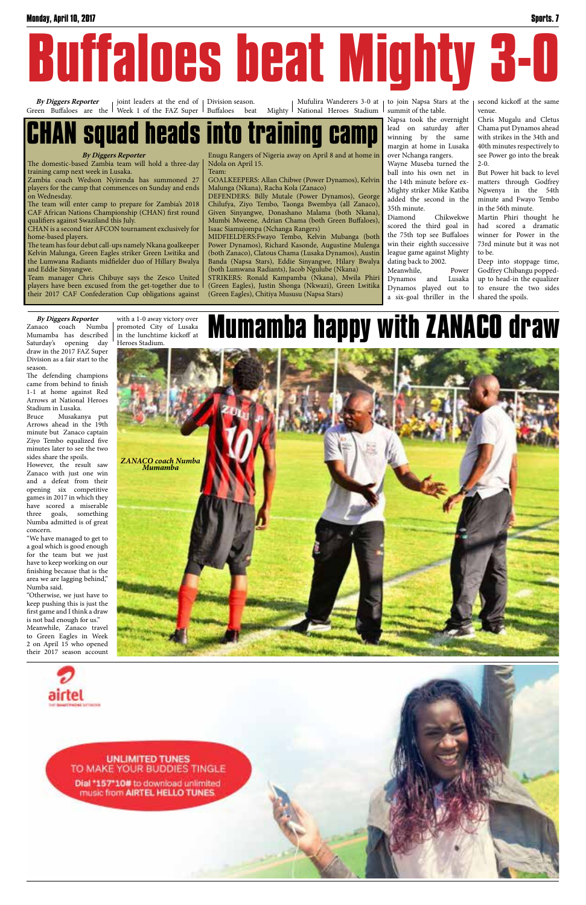to join Napsa Stars at the summit of the table.

Napsa took the overnight lead on saturday after winning by the same margin at home in Lusaka over Nchanga rangers.

Wayne Museba turned the ball into his own net in the 14th minute before ex-Mighty striker Mike Katiba added the second in the 35th minute.

Diamond Chikwekwe scored the third goal in the 75th top see Buffaloes win their eighth successive league game against Mighty dating back to 2002.

Meanwhile, Power Dynamos and Lusaka Dynamos played out to a six-goal thriller in the

#### **By Diggers Reporter** Enugu Rangers of Nigeria away on April 8 and at home in **Squad heads into training**

second kickoff at the same venue.

Chris Mugalu and Cletus Chama put Dynamos ahead with strikes in the 34th and 40th minutes respectively to see Power go into the break 2-0.

But Power hit back to level matters through Godfrey Ngwenya in the 54th minute and Fwayo Tembo in the 56th minute.

Martin Phiri thought he had scored a dramatic winner for Power in the 73rd minute but it was not to be.

Deep into stoppage time, Godfrey Chibangu poppedup to head-in the equalizer to ensure the two sides shared the spoils.

The domestic-based Zambia team will hold a three-day training camp next week in Lusaka.

Zambia coach Wedson Nyirenda has summoned 27 players for the camp that commences on Sunday and ends on Wednesday.

The team will enter camp to prepare for Zambia's 2018 CAF African Nations Championship (CHAN) first round qualifiers against Swaziland this July.

CHAN is a second tier AFCON tournament exclusively for home-based players.

The team has four debut call-ups namely Nkana goalkeeper Kelvin Malunga, Green Eagles striker Green Lwitika and the Lumwana Radiants midfielder duo of Hillary Bwalya and Eddie Sinyangwe.

Team manager Chris Chibuye says the Zesco United players have been excused from the get-together due to their 2017 CAF Confederation Cup obligations against

Ndola on April 15.

Team:

GOALKEEPERS: Allan Chibwe (Power Dynamos), Kelvin

Malunga (Nkana), Racha Kola (Zanaco)

DEFENDERS: Billy Mutale (Power Dynamos), George Chilufya, Ziyo Tembo, Taonga Bwembya (all Zanaco), Given Sinyangwe, Donashano Malama (both Nkana), Mumbi Mweene, Adrian Chama (both Green Buffaloes),

Isaac Siamujompa (Nchanga Rangers)

MIDFIELDERS:Fwayo Tembo, Kelvin Mubanga (both Power Dynamos), Richard Kasonde, Augustine Mulenga (both Zanaco), Clatous Chama (Lusaka Dynamos), Austin Banda (Napsa Stars), Eddie Sinyangwe, Hilary Bwalya (both Lumwana Radiants), Jacob Ngulube (Nkana) STRIKERS: Ronald Kampamba (Nkana), Mwila Phiri (Green Eagles), Justin Shonga (Nkwazi), Green Lwitika

(Green Eagles), Chitiya Mususu (Napsa Stars)

**By Diggers Reporter** Green Buffaloes are the joint leaders at the end of Week 1 of the FAZ Super Division season. Buffaloes beat Mighty

Mufulira Wanderers 3-0 at National Heroes Stadium

#### **By Diggers Reporter**

Zanaco coach Numba Mumamba has described Saturday's opening day draw in the 2017 FAZ Super Division as a fair start to the season.

The defending champions came from behind to finish 1-1 at home against Red Arrows at National Heroes Stadium in Lusaka.

Bruce Musakanya put Arrows ahead in the 19th minute but Zanaco captain Ziyo Tembo equalized five minutes later to see the two sides share the spoils.

However, the result saw Zanaco with just one win and a defeat from their opening six competitive games in 2017 in which they have scored a miserable three goals, something Numba admitted is of great concern.

"We have managed to get to a goal which is good enough for the team but we just have to keep working on our finishing because that is the area we are lagging behind," Numba said.

"Otherwise, we just have to keep pushing this is just the first game and I think a draw is not bad enough for us."

Meanwhile, Zanaco travel to Green Eagles in Week 2 on April 15 who opened their 2017 season account

**Mumamba happy with ZANACO draw**

![](_page_6_Picture_30.jpeg)

![](_page_6_Picture_32.jpeg)

#### **UNLIMITED TUNES** TO MAKE YOUR BUDDIES TINGLE Dial \*157\*10# to download unlimited music from AIRTEL HELLO TUNES

![](_page_6_Picture_1.jpeg)

with a 1-0 away victory over promoted City of Lusaka in the lunchtime kickoff at Heroes Stadium.